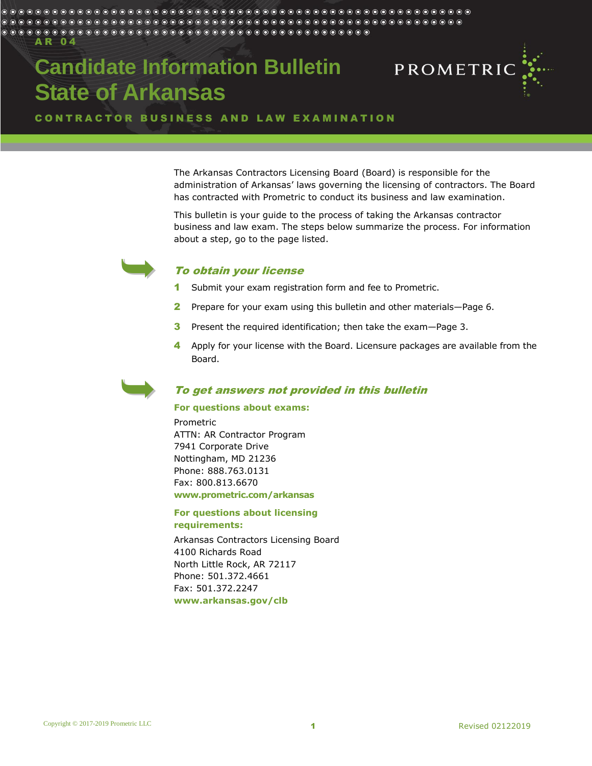A R 0 4

# **Candidate Information Bulletin State of Arkansas**



CONTRACTOR BUSINESS AND LAW EXAMINATION

The Arkansas Contractors Licensing Board (Board) is responsible for the administration of Arkansas' laws governing the licensing of contractors. The Board has contracted with Prometric to conduct its business and law examination.

This bulletin is your guide to the process of taking the Arkansas contractor business and law exam. The steps below summarize the process. For information about a step, go to the page listed.



# To obtain your license

- 1 Submit your exam registration form and fee to Prometric.
- 2 Prepare for your exam using this bulletin and other materials—Page [6.](#page-5-0)
- 3 Present the required identification; then take the exam—Page 3.
- 4 Apply for your license with the Board. Licensure packages are available from the Board.

# To get answers not provided in this bulletin

#### **For questions about exams:**

Prometric ATTN: AR Contractor Program 7941 Corporate Drive Nottingham, MD 21236 Phone: 888.763.0131 Fax: 800.813.6670 **www.prometric.com/arkansas**

## **For questions about licensing requirements:**

Arkansas Contractors Licensing Board 4100 Richards Road North Little Rock, AR 72117 Phone: 501.372.4661 Fax: 501.372.2247 **[www.arkansas.gov/clb](http://www.arkansas.gov/clb)**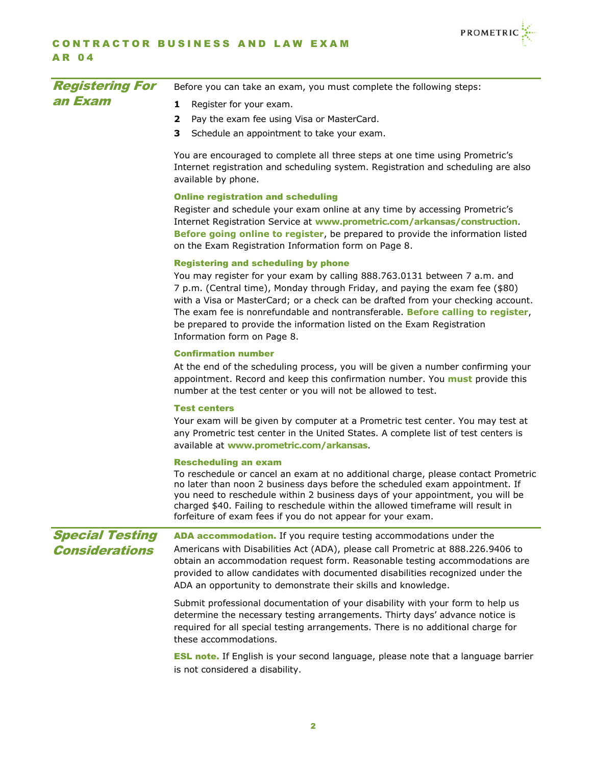

| <b>Registering For</b> | Before you can take an exam, you must complete the following steps:                                                                                                                                                                                                                                                                                                                                                                                                                    |
|------------------------|----------------------------------------------------------------------------------------------------------------------------------------------------------------------------------------------------------------------------------------------------------------------------------------------------------------------------------------------------------------------------------------------------------------------------------------------------------------------------------------|
| an Exam                | 1<br>Register for your exam.                                                                                                                                                                                                                                                                                                                                                                                                                                                           |
|                        | Pay the exam fee using Visa or MasterCard.<br>2                                                                                                                                                                                                                                                                                                                                                                                                                                        |
|                        | 3.<br>Schedule an appointment to take your exam.                                                                                                                                                                                                                                                                                                                                                                                                                                       |
|                        | You are encouraged to complete all three steps at one time using Prometric's<br>Internet registration and scheduling system. Registration and scheduling are also<br>available by phone.                                                                                                                                                                                                                                                                                               |
|                        | <b>Online registration and scheduling</b><br>Register and schedule your exam online at any time by accessing Prometric's<br>Internet Registration Service at www.prometric.com/arkansas/construction.<br>Before going online to register, be prepared to provide the information listed<br>on the Exam Registration Information form on Page 8.                                                                                                                                        |
|                        | <b>Registering and scheduling by phone</b><br>You may register for your exam by calling 888.763.0131 between 7 a.m. and<br>7 p.m. (Central time), Monday through Friday, and paying the exam fee (\$80)<br>with a Visa or MasterCard; or a check can be drafted from your checking account.<br>The exam fee is nonrefundable and nontransferable. Before calling to register,<br>be prepared to provide the information listed on the Exam Registration<br>Information form on Page 8. |
|                        | <b>Confirmation number</b><br>At the end of the scheduling process, you will be given a number confirming your<br>appointment. Record and keep this confirmation number. You must provide this<br>number at the test center or you will not be allowed to test.                                                                                                                                                                                                                        |
|                        | <b>Test centers</b><br>Your exam will be given by computer at a Prometric test center. You may test at<br>any Prometric test center in the United States. A complete list of test centers is<br>available at www.prometric.com/arkansas.                                                                                                                                                                                                                                               |
|                        | <b>Rescheduling an exam</b><br>To reschedule or cancel an exam at no additional charge, please contact Prometric<br>no later than noon 2 business days before the scheduled exam appointment. If<br>you need to reschedule within 2 business days of your appointment, you will be<br>charged \$40. Failing to reschedule within the allowed timeframe will result in<br>forfeiture of exam fees if you do not appear for your exam.                                                   |
| <b>Special Testing</b> | ADA accommodation. If you require testing accommodations under the                                                                                                                                                                                                                                                                                                                                                                                                                     |
| <b>Considerations</b>  | Americans with Disabilities Act (ADA), please call Prometric at 888.226.9406 to<br>obtain an accommodation request form. Reasonable testing accommodations are<br>provided to allow candidates with documented disabilities recognized under the<br>ADA an opportunity to demonstrate their skills and knowledge.                                                                                                                                                                      |
|                        | Submit professional documentation of your disability with your form to help us<br>determine the necessary testing arrangements. Thirty days' advance notice is<br>required for all special testing arrangements. There is no additional charge for<br>these accommodations.                                                                                                                                                                                                            |
|                        | <b>ESL note.</b> If English is your second language, please note that a language barrier<br>is not considered a disability.                                                                                                                                                                                                                                                                                                                                                            |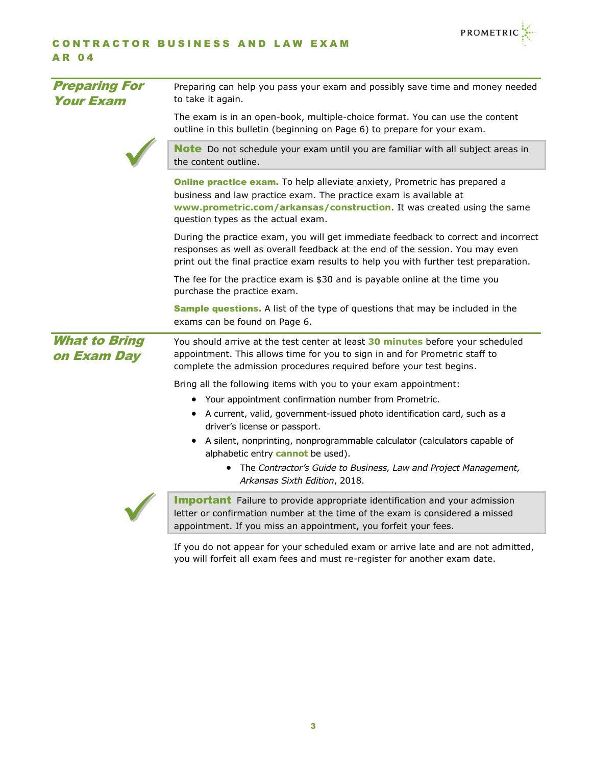

# CONTRACTOR BUSINESS AND LAW EXAM A R 0 4

| <b>Preparing For</b><br><b>Your Exam</b> | Preparing can help you pass your exam and possibly save time and money needed<br>to take it again.                                                                                                                                                             |
|------------------------------------------|----------------------------------------------------------------------------------------------------------------------------------------------------------------------------------------------------------------------------------------------------------------|
|                                          | The exam is in an open-book, multiple-choice format. You can use the content<br>outline in this bulletin (beginning on Page 6) to prepare for your exam.                                                                                                       |
|                                          | <b>Note</b> Do not schedule your exam until you are familiar with all subject areas in<br>the content outline.                                                                                                                                                 |
|                                          | Online practice exam. To help alleviate anxiety, Prometric has prepared a<br>business and law practice exam. The practice exam is available at<br>www.prometric.com/arkansas/construction. It was created using the same<br>question types as the actual exam. |
|                                          | During the practice exam, you will get immediate feedback to correct and incorrect<br>responses as well as overall feedback at the end of the session. You may even<br>print out the final practice exam results to help you with further test preparation.    |
|                                          | The fee for the practice exam is \$30 and is payable online at the time you<br>purchase the practice exam.                                                                                                                                                     |
|                                          | <b>Sample questions.</b> A list of the type of questions that may be included in the<br>exams can be found on Page 6.                                                                                                                                          |
| <b>What to Bring</b><br>on Exam Day      | You should arrive at the test center at least 30 minutes before your scheduled<br>appointment. This allows time for you to sign in and for Prometric staff to<br>complete the admission procedures required before your test begins.                           |
|                                          | Bring all the following items with you to your exam appointment:                                                                                                                                                                                               |
|                                          | • Your appointment confirmation number from Prometric.                                                                                                                                                                                                         |
|                                          | • A current, valid, government-issued photo identification card, such as a<br>driver's license or passport.                                                                                                                                                    |
|                                          | A silent, nonprinting, nonprogrammable calculator (calculators capable of<br>alphabetic entry cannot be used).                                                                                                                                                 |
|                                          | The Contractor's Guide to Business, Law and Project Management,<br>$\bullet$<br>Arkansas Sixth Edition, 2018.                                                                                                                                                  |
|                                          | <b>Important</b> Failure to provide appropriate identification and your admission<br>letter or confirmation number at the time of the exam is considered a missed<br>appointment. If you miss an appointment, you forfeit your fees.                           |
|                                          |                                                                                                                                                                                                                                                                |

If you do not appear for your scheduled exam or arrive late and are not admitted, you will forfeit all exam fees and must re-register for another exam date.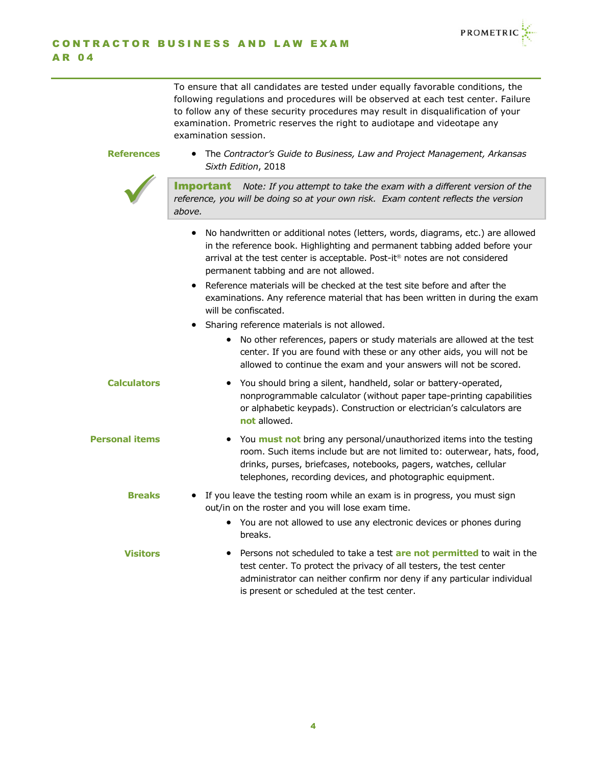

To ensure that all candidates are tested under equally favorable conditions, the following regulations and procedures will be observed at each test center. Failure to follow any of these security procedures may result in disqualification of your examination. Prometric reserves the right to audiotape and videotape any examination session.

# **References**

 $\bigvee$ 

 The *Contractor's Guide to Business, Law and Project Management, Arkansas Sixth Edition*, 2018

Important *Note: If you attempt to take the exam with a different version of the reference, you will be doing so at your own risk. Exam content reflects the version above.*

- No handwritten or additional notes (letters, words, diagrams, etc.) are allowed in the reference book. Highlighting and permanent tabbing added before your arrival at the test center is acceptable. Post-it<sup>®</sup> notes are not considered permanent tabbing and are not allowed.
- Reference materials will be checked at the test site before and after the examinations. Any reference material that has been written in during the exam will be confiscated.
- Sharing reference materials is not allowed.
	- No other references, papers or study materials are allowed at the test center. If you are found with these or any other aids, you will not be allowed to continue the exam and your answers will not be scored.
- You should bring a silent, handheld, solar or battery-operated, nonprogrammable calculator (without paper tape-printing capabilities or alphabetic keypads). Construction or electrician's calculators are **not** allowed. **Calculators**
- You **must not** bring any personal/unauthorized items into the testing room. Such items include but are not limited to: outerwear, hats, food, drinks, purses, briefcases, notebooks, pagers, watches, cellular telephones, recording devices, and photographic equipment. **Personal items**
	- If you leave the testing room while an exam is in progress, you must sign out/in on the roster and you will lose exam time. **Breaks**
		- You are not allowed to use any electronic devices or phones during breaks.

# **Visitors**

 Persons not scheduled to take a test **are not permitted** to wait in the test center. To protect the privacy of all testers, the test center administrator can neither confirm nor deny if any particular individual is present or scheduled at the test center.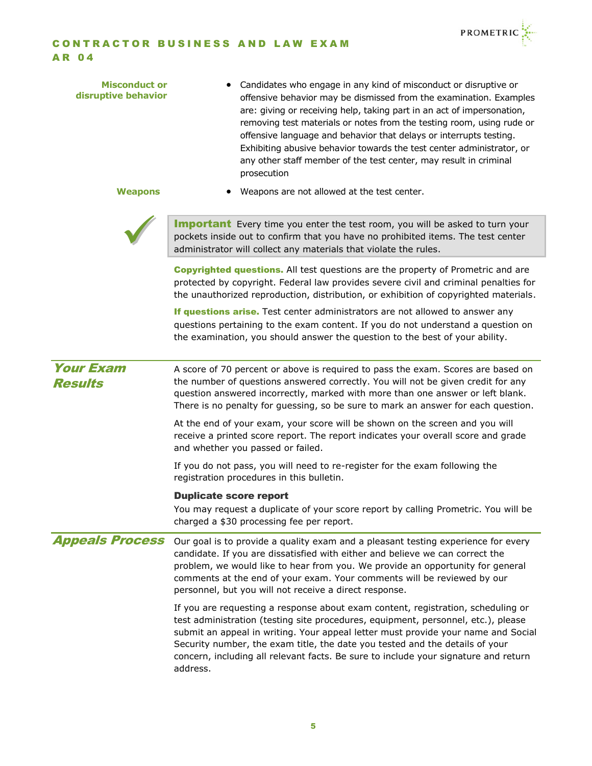

| <b>Misconduct or</b><br>disruptive behavior<br><b>Weapons</b> | Candidates who engage in any kind of misconduct or disruptive or<br>offensive behavior may be dismissed from the examination. Examples<br>are: giving or receiving help, taking part in an act of impersonation,<br>removing test materials or notes from the testing room, using rude or<br>offensive language and behavior that delays or interrupts testing.<br>Exhibiting abusive behavior towards the test center administrator, or<br>any other staff member of the test center, may result in criminal<br>prosecution<br>Weapons are not allowed at the test center. |
|---------------------------------------------------------------|-----------------------------------------------------------------------------------------------------------------------------------------------------------------------------------------------------------------------------------------------------------------------------------------------------------------------------------------------------------------------------------------------------------------------------------------------------------------------------------------------------------------------------------------------------------------------------|
|                                                               | <b>Important</b> Every time you enter the test room, you will be asked to turn your<br>pockets inside out to confirm that you have no prohibited items. The test center<br>administrator will collect any materials that violate the rules.                                                                                                                                                                                                                                                                                                                                 |
|                                                               | <b>Copyrighted questions.</b> All test questions are the property of Prometric and are<br>protected by copyright. Federal law provides severe civil and criminal penalties for<br>the unauthorized reproduction, distribution, or exhibition of copyrighted materials.                                                                                                                                                                                                                                                                                                      |
|                                                               | If questions arise. Test center administrators are not allowed to answer any<br>questions pertaining to the exam content. If you do not understand a question on<br>the examination, you should answer the question to the best of your ability.                                                                                                                                                                                                                                                                                                                            |
| <b>Your Exam</b><br><b>Results</b>                            | A score of 70 percent or above is required to pass the exam. Scores are based on<br>the number of questions answered correctly. You will not be given credit for any<br>question answered incorrectly, marked with more than one answer or left blank.<br>There is no penalty for guessing, so be sure to mark an answer for each question.                                                                                                                                                                                                                                 |
|                                                               | At the end of your exam, your score will be shown on the screen and you will<br>receive a printed score report. The report indicates your overall score and grade<br>and whether you passed or failed.                                                                                                                                                                                                                                                                                                                                                                      |
|                                                               | If you do not pass, you will need to re-register for the exam following the<br>registration procedures in this bulletin.                                                                                                                                                                                                                                                                                                                                                                                                                                                    |
|                                                               | <b>Duplicate score report</b><br>You may request a duplicate of your score report by calling Prometric. You will be<br>charged a \$30 processing fee per report.                                                                                                                                                                                                                                                                                                                                                                                                            |
| <b>Appeals Process</b>                                        | Our goal is to provide a quality exam and a pleasant testing experience for every<br>candidate. If you are dissatisfied with either and believe we can correct the<br>problem, we would like to hear from you. We provide an opportunity for general<br>comments at the end of your exam. Your comments will be reviewed by our<br>personnel, but you will not receive a direct response.                                                                                                                                                                                   |
|                                                               | If you are requesting a response about exam content, registration, scheduling or<br>test administration (testing site procedures, equipment, personnel, etc.), please<br>submit an appeal in writing. Your appeal letter must provide your name and Social<br>Security number, the exam title, the date you tested and the details of your<br>concern, including all relevant facts. Be sure to include your signature and return<br>address.                                                                                                                               |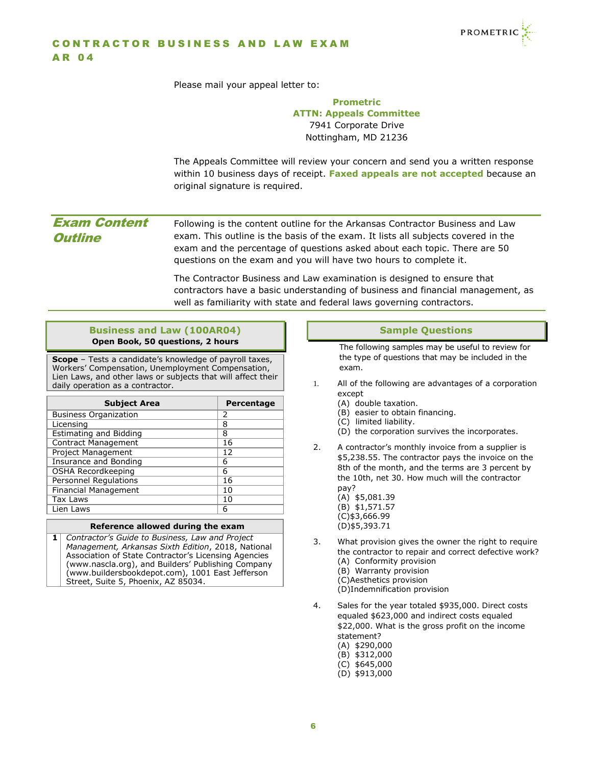

Please mail your appeal letter to:

<span id="page-5-0"></span>

|                                       | <b>Prometric</b>                                                                                                                                                                                                                                                                                                     |
|---------------------------------------|----------------------------------------------------------------------------------------------------------------------------------------------------------------------------------------------------------------------------------------------------------------------------------------------------------------------|
|                                       | <b>ATTN: Appeals Committee</b>                                                                                                                                                                                                                                                                                       |
|                                       | 7941 Corporate Drive                                                                                                                                                                                                                                                                                                 |
|                                       | Nottingham, MD 21236                                                                                                                                                                                                                                                                                                 |
|                                       | The Appeals Committee will review your concern and send you a written response<br>within 10 business days of receipt. Faxed appeals are not accepted because an<br>original signature is required.                                                                                                                   |
| <b>Exam Content</b><br><b>Outline</b> | Following is the content outline for the Arkansas Contractor Business and Law<br>exam. This outline is the basis of the exam. It lists all subjects covered in the<br>exam and the percentage of questions asked about each topic. There are 50<br>questions on the exam and you will have two hours to complete it. |
|                                       | The Contractor Business and Law examination is designed to ensure that<br>contractors have a basic understanding of business and financial management, as<br>well as familiarity with state and federal laws governing contractors.                                                                                  |
|                                       |                                                                                                                                                                                                                                                                                                                      |

# **Business and Law (100AR04) Open Book, 50 questions, 2 hours**

**Scope** – Tests a candidate's knowledge of payroll taxes, Workers' Compensation, Unemployment Compensation, Lien Laws, and other laws or subjects that will affect their daily operation as a contractor.

| <b>Subject Area</b>           | Percentage |
|-------------------------------|------------|
| <b>Business Organization</b>  | 2          |
| Licensing                     | 8          |
| <b>Estimating and Bidding</b> | 8          |
| <b>Contract Management</b>    | 16         |
| <b>Project Management</b>     | 12         |
| Insurance and Bonding         | 6          |
| OSHA Recordkeeping            | 6          |
| <b>Personnel Regulations</b>  | 16         |
| <b>Financial Management</b>   | 10         |
| <b>Tax Laws</b>               | 10         |
| Lien Laws                     | 6          |

### **Reference allowed during the exam**

**1** *Contractor's Guide to Business, Law and Project Management, Arkansas Sixth Edition*, 2018, National Association of State Contractor's Licensing Agencies (www.nascla.org), and Builders' Publishing Company (www.buildersbookdepot.com), 1001 East Jefferson Street, Suite 5, Phoenix, AZ 85034.

# **Sample Questions**

<span id="page-5-1"></span>The following samples may be useful to review for the type of questions that may be included in the exam.

- 1. All of the following are advantages of a corporation except
	- (A) double taxation.
	- (B) easier to obtain financing.
	- (C) limited liability.
	- (D) the corporation survives the incorporates.
- 2. A contractor's monthly invoice from a supplier is \$5,238.55. The contractor pays the invoice on the 8th of the month, and the terms are 3 percent by the 10th, net 30. How much will the contractor pay?
	- (A) \$5,081.39 (B) \$1,571.57
	- (C)\$3,666.99 (D)\$5,393.71
	-
- 3. What provision gives the owner the right to require the contractor to repair and correct defective work? (A) Conformity provision
	- (B) Warranty provision
	- (C)Aesthetics provision
	- (D)Indemnification provision
- 4. Sales for the year totaled \$935,000. Direct costs equaled \$623,000 and indirect costs equaled \$22,000. What is the gross profit on the income statement? (A) \$290,000 (B) \$312,000 (C) \$645,000
	- (D) \$913,000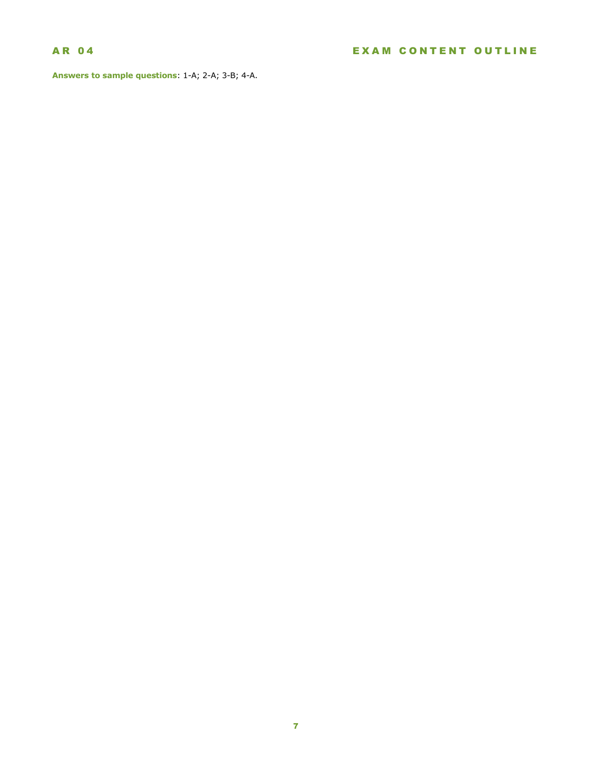<span id="page-6-0"></span>**Answers to sample questions**: 1-A; 2-A; 3-B; 4-A.